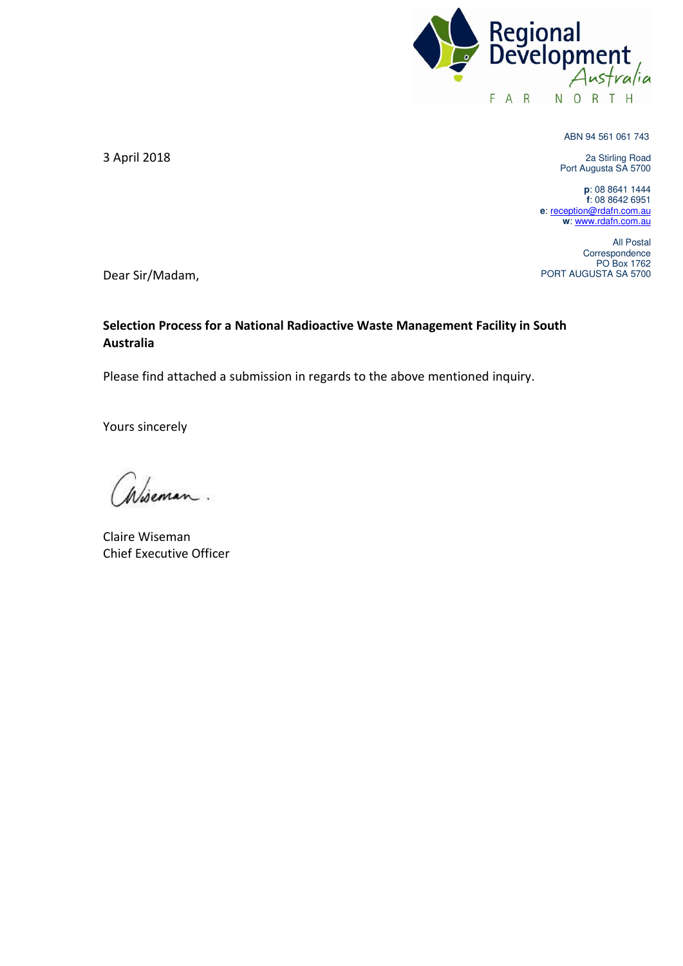

ABN 94 561 061 743

2a Stirling Road Port Augusta SA 5700

**p**: 08 8641 1444 **f**: 08 8642 6951 **e**[: reception@rdafn.com.au](mailto:reception@rdafn.com.au) **w**[: www.rdafn.com.au](http://www.rdafn.com.au/) 

All Postal Correspondence PO Box 1762 PORT AUGUSTA SA 5700

3 April 2018

Dear Sir/Madam,

## **Selection Process for a National Radioactive Waste Management Facility in South Australia**

Please find attached a submission in regards to the above mentioned inquiry.

Yours sincerely

Claire Wiseman Chief Executive Officer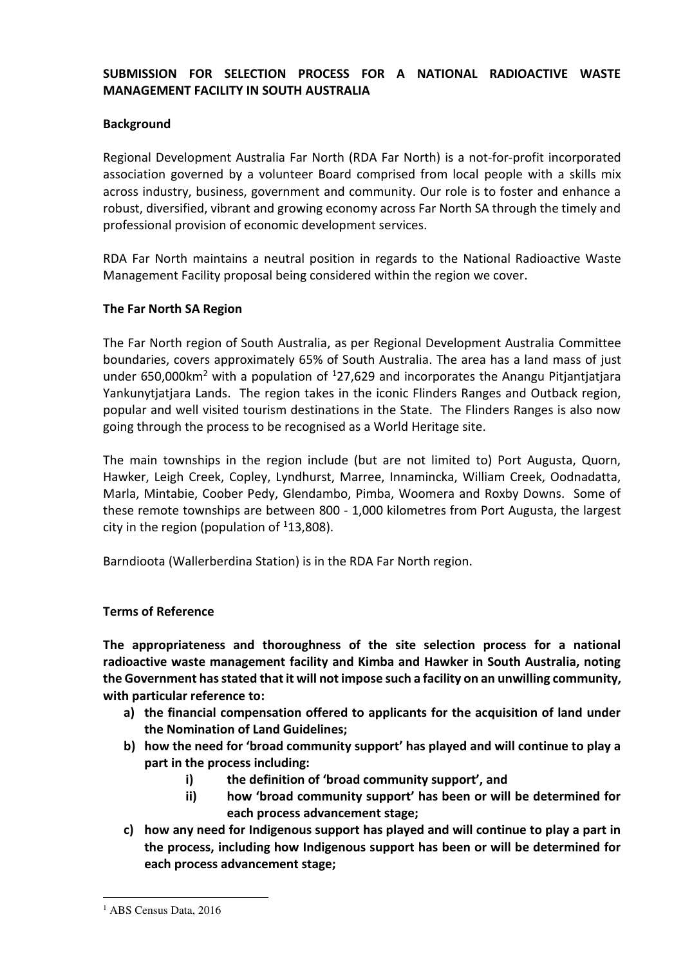# **SUBMISSION FOR SELECTION PROCESS FOR A NATIONAL RADIOACTIVE WASTE MANAGEMENT FACILITY IN SOUTH AUSTRALIA**

### **Background**

Regional Development Australia Far North (RDA Far North) is a not-for-profit incorporated association governed by a volunteer Board comprised from local people with a skills mix across industry, business, government and community. Our role is to foster and enhance a robust, diversified, vibrant and growing economy across Far North SA through the timely and professional provision of economic development services.

RDA Far North maintains a neutral position in regards to the National Radioactive Waste Management Facility proposal being considered within the region we cover.

### **The Far North SA Region**

The Far North region of South Australia, as per Regional Development Australia Committee boundaries, covers approximately 65% of South Australia. The area has a land mass of just under  $650,000$ km<sup>2</sup> with a population of  $127,629$  and incorporates the Anangu Pitjantjatjara Yankunytjatjara Lands. The region takes in the iconic Flinders Ranges and Outback region, popular and well visited tourism destinations in the State. The Flinders Ranges is also now going through the process to be recognised as a World Heritage site.

The main townships in the region include (but are not limited to) Port Augusta, Quorn, Hawker, Leigh Creek, Copley, Lyndhurst, Marree, Innamincka, William Creek, Oodnadatta, Marla, Mintabie, Coober Pedy, Glendambo, Pimba, Woomera and Roxby Downs. Some of these remote townships are between 800 - 1,000 kilometres from Port Augusta, the largest city in the region (population of  $113,808$ ).

Barndioota (Wallerberdina Station) is in the RDA Far North region.

### **Terms of Reference**

**The appropriateness and thoroughness of the site selection process for a national radioactive waste management facility and Kimba and Hawker in South Australia, noting the Government has stated that it will not impose such a facility on an unwilling community, with particular reference to:** 

- **a) the financial compensation offered to applicants for the acquisition of land under the Nomination of Land Guidelines;**
- **b) how the need for 'broad community support' has played and will continue to play a part in the process including:** 
	- **i) the definition of 'broad community support', and**
	- **ii) how 'broad community support' has been or will be determined for each process advancement stage;**
- **c) how any need for Indigenous support has played and will continue to play a part in the process, including how Indigenous support has been or will be determined for each process advancement stage;**

 $\overline{a}$ 

<sup>&</sup>lt;sup>1</sup> ABS Census Data, 2016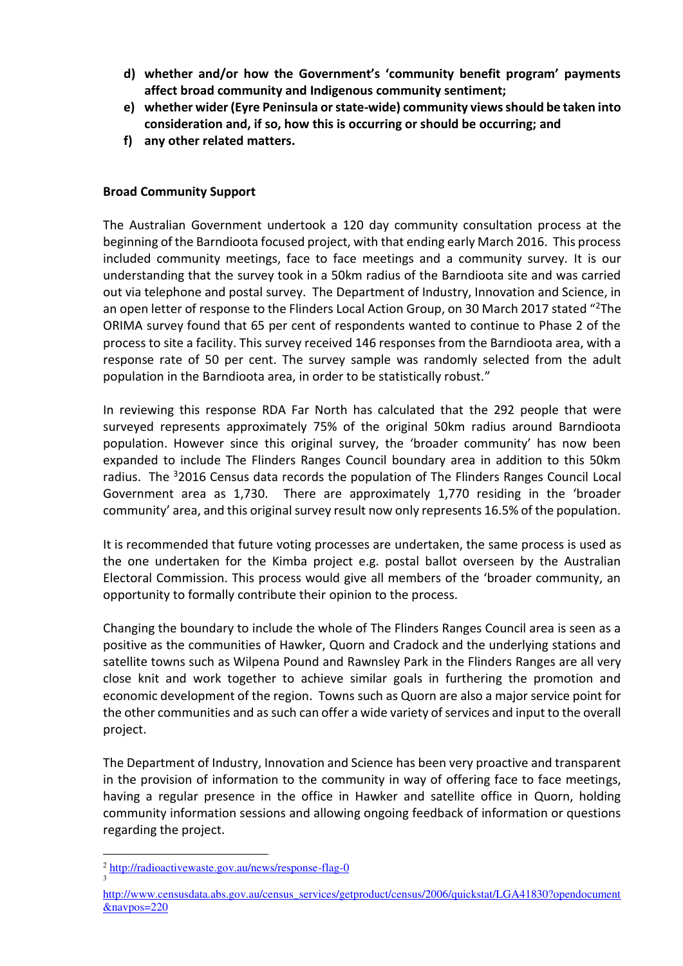- **d) whether and/or how the Government's 'community benefit program' payments affect broad community and Indigenous community sentiment;**
- **e) whether wider (Eyre Peninsula or state-wide) community views should be taken into consideration and, if so, how this is occurring or should be occurring; and**
- **f) any other related matters.**

# **Broad Community Support**

The Australian Government undertook a 120 day community consultation process at the beginning of the Barndioota focused project, with that ending early March 2016. This process included community meetings, face to face meetings and a community survey. It is our understanding that the survey took in a 50km radius of the Barndioota site and was carried out via telephone and postal survey. The Department of Industry, Innovation and Science, in an open letter of response to the Flinders Local Action Group, on 30 March 2017 stated "<sup>2</sup>The ORIMA survey found that 65 per cent of respondents wanted to continue to Phase 2 of the process to site a facility. This survey received 146 responses from the Barndioota area, with a response rate of 50 per cent. The survey sample was randomly selected from the adult population in the Barndioota area, in order to be statistically robust."

In reviewing this response RDA Far North has calculated that the 292 people that were surveyed represents approximately 75% of the original 50km radius around Barndioota population. However since this original survey, the 'broader community' has now been expanded to include The Flinders Ranges Council boundary area in addition to this 50km radius. The <sup>3</sup>2016 Census data records the population of The Flinders Ranges Council Local Government area as 1,730. There are approximately 1,770 residing in the 'broader community' area, and this original survey result now only represents 16.5% of the population.

It is recommended that future voting processes are undertaken, the same process is used as the one undertaken for the Kimba project e.g. postal ballot overseen by the Australian Electoral Commission. This process would give all members of the 'broader community, an opportunity to formally contribute their opinion to the process.

Changing the boundary to include the whole of The Flinders Ranges Council area is seen as a positive as the communities of Hawker, Quorn and Cradock and the underlying stations and satellite towns such as Wilpena Pound and Rawnsley Park in the Flinders Ranges are all very close knit and work together to achieve similar goals in furthering the promotion and economic development of the region. Towns such as Quorn are also a major service point for the other communities and as such can offer a wide variety of services and input to the overall project.

The Department of Industry, Innovation and Science has been very proactive and transparent in the provision of information to the community in way of offering face to face meetings, having a regular presence in the office in Hawker and satellite office in Quorn, holding community information sessions and allowing ongoing feedback of information or questions regarding the project.

3

 $\overline{a}$ <sup>2</sup> <http://radioactivewaste.gov.au/news/response-flag-0>

[http://www.censusdata.abs.gov.au/census\\_services/getproduct/census/2006/quickstat/LGA41830?opendocument](http://www.censusdata.abs.gov.au/census_services/getproduct/census/2006/quickstat/LGA41830?opendocument&navpos=220) [&navpos=220](http://www.censusdata.abs.gov.au/census_services/getproduct/census/2006/quickstat/LGA41830?opendocument&navpos=220)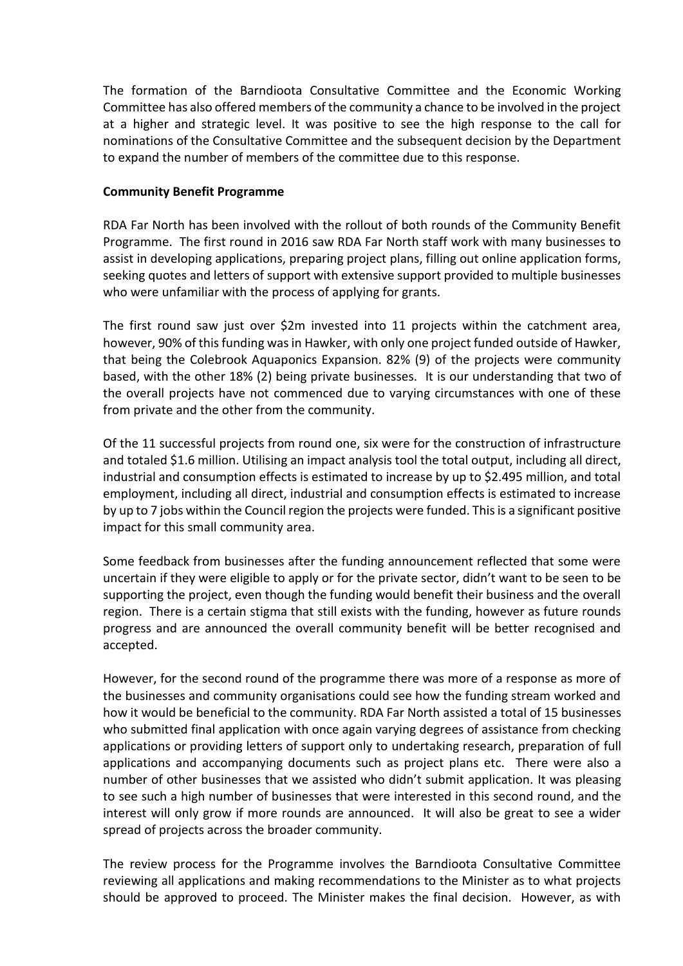The formation of the Barndioota Consultative Committee and the Economic Working Committee has also offered members of the community a chance to be involved in the project at a higher and strategic level. It was positive to see the high response to the call for nominations of the Consultative Committee and the subsequent decision by the Department to expand the number of members of the committee due to this response.

### **Community Benefit Programme**

RDA Far North has been involved with the rollout of both rounds of the Community Benefit Programme. The first round in 2016 saw RDA Far North staff work with many businesses to assist in developing applications, preparing project plans, filling out online application forms, seeking quotes and letters of support with extensive support provided to multiple businesses who were unfamiliar with the process of applying for grants.

The first round saw just over \$2m invested into 11 projects within the catchment area, however, 90% of this funding was in Hawker, with only one project funded outside of Hawker, that being the Colebrook Aquaponics Expansion. 82% (9) of the projects were community based, with the other 18% (2) being private businesses. It is our understanding that two of the overall projects have not commenced due to varying circumstances with one of these from private and the other from the community.

Of the 11 successful projects from round one, six were for the construction of infrastructure and totaled \$1.6 million. Utilising an impact analysis tool the total output, including all direct, industrial and consumption effects is estimated to increase by up to \$2.495 million, and total employment, including all direct, industrial and consumption effects is estimated to increase by up to 7 jobs within the Council region the projects were funded. This is a significant positive impact for this small community area.

Some feedback from businesses after the funding announcement reflected that some were uncertain if they were eligible to apply or for the private sector, didn't want to be seen to be supporting the project, even though the funding would benefit their business and the overall region. There is a certain stigma that still exists with the funding, however as future rounds progress and are announced the overall community benefit will be better recognised and accepted.

However, for the second round of the programme there was more of a response as more of the businesses and community organisations could see how the funding stream worked and how it would be beneficial to the community. RDA Far North assisted a total of 15 businesses who submitted final application with once again varying degrees of assistance from checking applications or providing letters of support only to undertaking research, preparation of full applications and accompanying documents such as project plans etc. There were also a number of other businesses that we assisted who didn't submit application. It was pleasing to see such a high number of businesses that were interested in this second round, and the interest will only grow if more rounds are announced. It will also be great to see a wider spread of projects across the broader community.

The review process for the Programme involves the Barndioota Consultative Committee reviewing all applications and making recommendations to the Minister as to what projects should be approved to proceed. The Minister makes the final decision. However, as with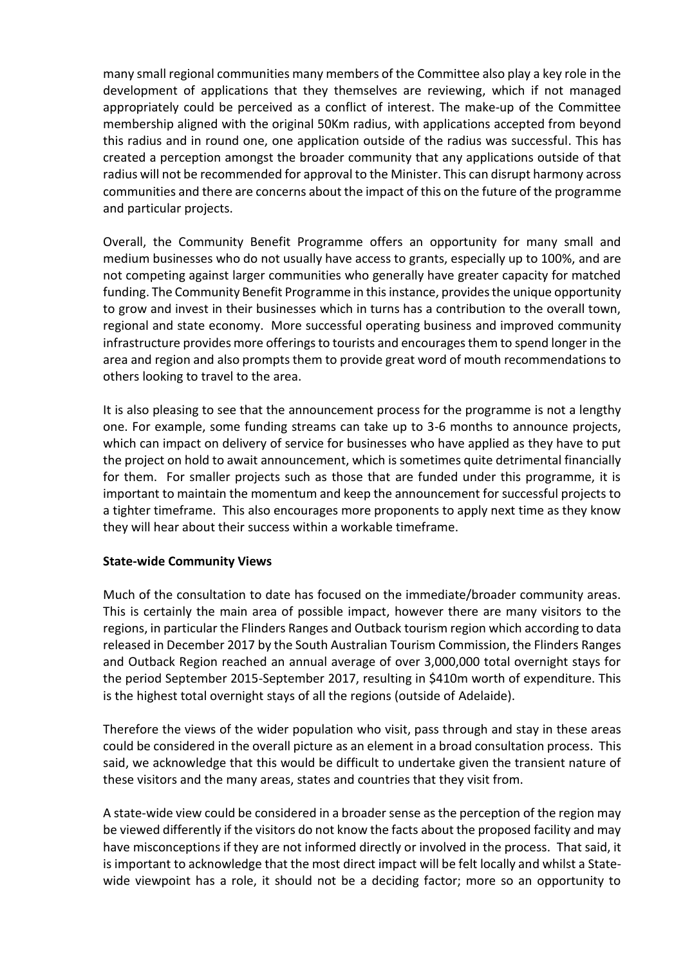many small regional communities many members of the Committee also play a key role in the development of applications that they themselves are reviewing, which if not managed appropriately could be perceived as a conflict of interest. The make-up of the Committee membership aligned with the original 50Km radius, with applications accepted from beyond this radius and in round one, one application outside of the radius was successful. This has created a perception amongst the broader community that any applications outside of that radius will not be recommended for approval to the Minister. This can disrupt harmony across communities and there are concerns about the impact of this on the future of the programme and particular projects.

Overall, the Community Benefit Programme offers an opportunity for many small and medium businesses who do not usually have access to grants, especially up to 100%, and are not competing against larger communities who generally have greater capacity for matched funding. The Community Benefit Programme in this instance, provides the unique opportunity to grow and invest in their businesses which in turns has a contribution to the overall town, regional and state economy. More successful operating business and improved community infrastructure provides more offerings to tourists and encourages them to spend longer in the area and region and also prompts them to provide great word of mouth recommendations to others looking to travel to the area.

It is also pleasing to see that the announcement process for the programme is not a lengthy one. For example, some funding streams can take up to 3-6 months to announce projects, which can impact on delivery of service for businesses who have applied as they have to put the project on hold to await announcement, which is sometimes quite detrimental financially for them. For smaller projects such as those that are funded under this programme, it is important to maintain the momentum and keep the announcement for successful projects to a tighter timeframe. This also encourages more proponents to apply next time as they know they will hear about their success within a workable timeframe.

### **State-wide Community Views**

Much of the consultation to date has focused on the immediate/broader community areas. This is certainly the main area of possible impact, however there are many visitors to the regions, in particular the Flinders Ranges and Outback tourism region which according to data released in December 2017 by the South Australian Tourism Commission, the Flinders Ranges and Outback Region reached an annual average of over 3,000,000 total overnight stays for the period September 2015-September 2017, resulting in \$410m worth of expenditure. This is the highest total overnight stays of all the regions (outside of Adelaide).

Therefore the views of the wider population who visit, pass through and stay in these areas could be considered in the overall picture as an element in a broad consultation process. This said, we acknowledge that this would be difficult to undertake given the transient nature of these visitors and the many areas, states and countries that they visit from.

A state-wide view could be considered in a broader sense as the perception of the region may be viewed differently if the visitors do not know the facts about the proposed facility and may have misconceptions if they are not informed directly or involved in the process. That said, it is important to acknowledge that the most direct impact will be felt locally and whilst a Statewide viewpoint has a role, it should not be a deciding factor; more so an opportunity to